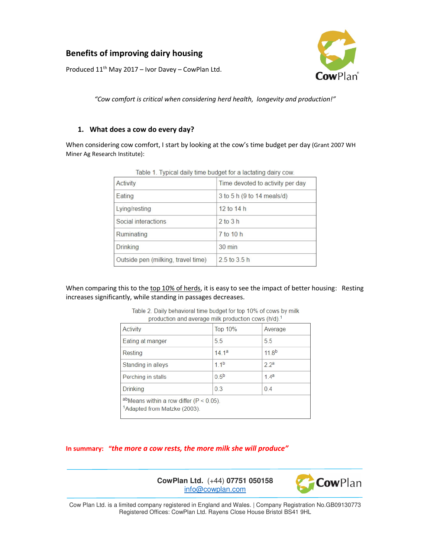# **Benefits of improving dairy housing**



Produced  $11^{th}$  May 2017 – Ivor Davey – CowPlan Ltd.

*"Cow comfort is critical when considering herd health, longevity and production!"* 

# **1. What does a cow do every day?**

When considering cow comfort, I start by looking at the cow's time budget per day (Grant 2007 WH Miner Ag Research Institute):

| TODIO T. Typical adity thrip budget for a lactuality dully cont. |                                  |  |
|------------------------------------------------------------------|----------------------------------|--|
| Activity                                                         | Time devoted to activity per day |  |
| Eating                                                           | 3 to 5 h (9 to 14 meals/d)       |  |
| Lying/resting                                                    | 12 to $14 h$                     |  |
| Social interactions                                              | $2$ to $3$ h                     |  |
| Ruminating                                                       | 7 to 10 h                        |  |
| Drinking                                                         | $30 \text{ min}$                 |  |
| Outside pen (milking, travel time)                               | $2.5$ to $3.5$ h                 |  |

Table 1 Typical daily time budget for a lactating dairy cow

When comparing this to the top 10% of herds, it is easy to see the impact of better housing: Resting increases significantly, while standing in passages decreases.

| Activity                                                                                | <b>Top 10%</b>   | Average           |  |
|-----------------------------------------------------------------------------------------|------------------|-------------------|--|
| Eating at manger                                                                        | 5.5              | 5 <sub>5</sub>    |  |
| Resting                                                                                 | 141a             | 11.8 <sup>b</sup> |  |
| Standing in alleys                                                                      | 11 <sup>b</sup>  | 22a               |  |
| Perching in stalls                                                                      | 0.5 <sup>b</sup> | 14 <sup>a</sup>   |  |
| <b>Drinking</b>                                                                         | 0.3              | 0.4               |  |
| abMeans within a row differ ( $P < 0.05$ ).<br><sup>1</sup> Adapted from Matzke (2003). |                  |                   |  |

Table 2. Daily behavioral time budget for top 10% of cows by milk production and average milk production cows (h/d) 1

**In summary: "***the more a cow rests, the more milk she will produce"* 



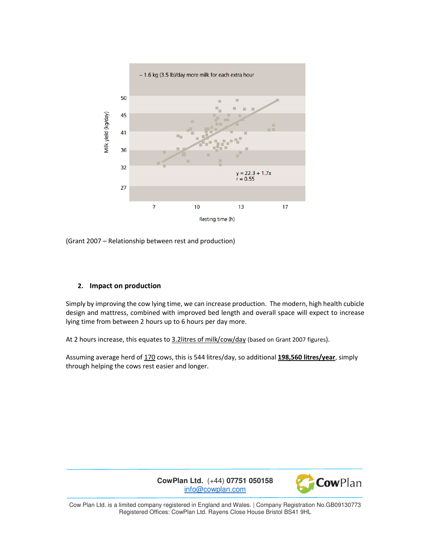

(Grant 2007 – Relationship between rest and production)

# **2. Impact on production**

Simply by improving the cow lying time, we can increase production. The modern, high health cubicle design and mattress, combined with improved bed length and overall space will expect to increase lying time from between 2 hours up to 6 hours per day more.

At 2 hours increase, this equates to 3.2litres of milk/cow/day (based on Grant 2007 figures).

Assuming average herd of 170 cows, this is 544 litres/day, so additional **198,560 litres/year**, simply through helping the cows rest easier and longer.

> **CowPlan Ltd.** (+44) **07751 050158** info@cowplan.com

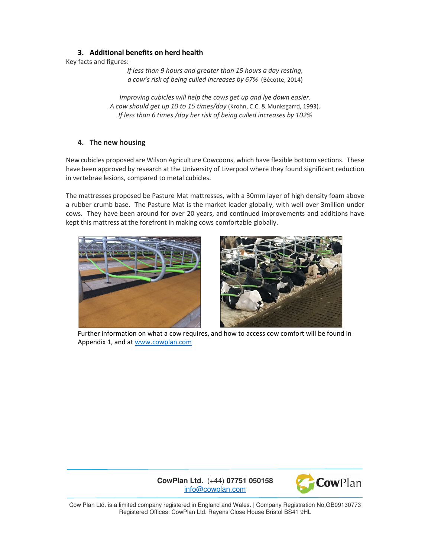# **3. Additional benefits on herd health**

Key facts and figures:

*If less than 9 hours and greater than 15 hours a day resting, a cow's risk of being culled increases by 67%* (Bécotte, 2014)

*Improving cubicles will help the cows get up and lye down easier. A cow should get up 10 to 15 times/day* (Krohn, C.C. & Munksgarrd, 1993). *If less than 6 times /day her risk of being culled increases by 102%* 

# **4. The new housing**

New cubicles proposed are Wilson Agriculture Cowcoons, which have flexible bottom sections. These have been approved by research at the University of Liverpool where they found significant reduction in vertebrae lesions, compared to metal cubicles.

The mattresses proposed be Pasture Mat mattresses, with a 30mm layer of high density foam above a rubber crumb base. The Pasture Mat is the market leader globally, with well over 3million under cows. They have been around for over 20 years, and continued improvements and additions have kept this mattress at the forefront in making cows comfortable globally.





Further information on what a cow requires, and how to access cow comfort will be found in Appendix 1, and at www.cowplan.com

**CowPlan Ltd.** (+44) **07751 050158** info@cowplan.com

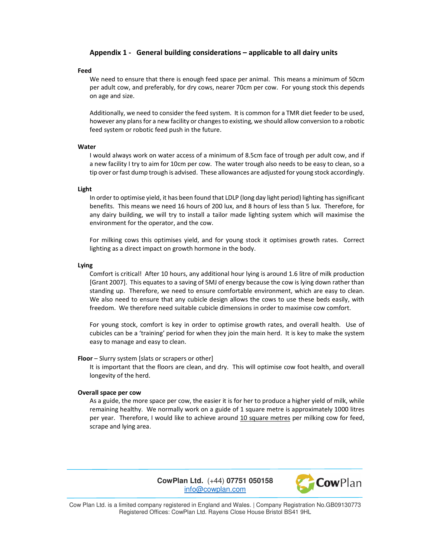### **Appendix 1 - General building considerations – applicable to all dairy units**

#### **Feed**

We need to ensure that there is enough feed space per animal. This means a minimum of 50cm per adult cow, and preferably, for dry cows, nearer 70cm per cow. For young stock this depends on age and size.

Additionally, we need to consider the feed system. It is common for a TMR diet feeder to be used, however any plans for a new facility or changes to existing, we should allow conversion to a robotic feed system or robotic feed push in the future.

#### **Water**

I would always work on water access of a minimum of 8.5cm face of trough per adult cow, and if a new facility I try to aim for 10cm per cow. The water trough also needs to be easy to clean, so a tip over or fast dump trough is advised. These allowances are adjusted for young stock accordingly.

### **Light**

In order to optimise yield, it has been found that LDLP (long day light period) lighting has significant benefits. This means we need 16 hours of 200 lux, and 8 hours of less than 5 lux. Therefore, for any dairy building, we will try to install a tailor made lighting system which will maximise the environment for the operator, and the cow.

For milking cows this optimises yield, and for young stock it optimises growth rates. Correct lighting as a direct impact on growth hormone in the body.

### **Lying**

Comfort is critical! After 10 hours, any additional hour lying is around 1.6 litre of milk production [Grant 2007]. This equates to a saving of 5MJ of energy because the cow is lying down rather than standing up. Therefore, we need to ensure comfortable environment, which are easy to clean. We also need to ensure that any cubicle design allows the cows to use these beds easily, with freedom. We therefore need suitable cubicle dimensions in order to maximise cow comfort.

For young stock, comfort is key in order to optimise growth rates, and overall health. Use of cubicles can be a 'training' period for when they join the main herd. It is key to make the system easy to manage and easy to clean.

### **Floor** – Slurry system [slats or scrapers or other]

It is important that the floors are clean, and dry. This will optimise cow foot health, and overall longevity of the herd.

#### **Overall space per cow**

As a guide, the more space per cow, the easier it is for her to produce a higher yield of milk, while remaining healthy. We normally work on a guide of 1 square metre is approximately 1000 litres per year. Therefore, I would like to achieve around 10 square metres per milking cow for feed, scrape and lying area.

> **CowPlan Ltd.** (+44) **07751 050158** info@cowplan.com